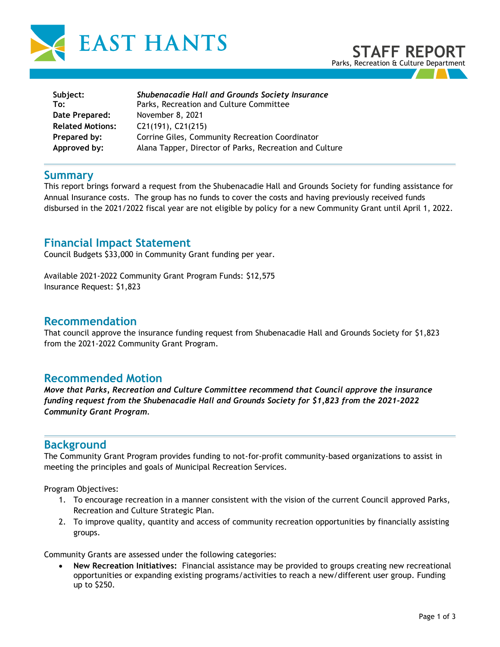

| Subject:                | Shubenacadie Hall and Grounds Society Insurance         |
|-------------------------|---------------------------------------------------------|
| To:                     | Parks, Recreation and Culture Committee                 |
| Date Prepared:          | November 8, 2021                                        |
| <b>Related Motions:</b> | $C21(191)$ , $C21(215)$                                 |
| Prepared by:            | Corrine Giles, Community Recreation Coordinator         |
| Approved by:            | Alana Tapper, Director of Parks, Recreation and Culture |

## **Summary**

This report brings forward a request from the Shubenacadie Hall and Grounds Society for funding assistance for Annual Insurance costs. The group has no funds to cover the costs and having previously received funds disbursed in the 2021/2022 fiscal year are not eligible by policy for a new Community Grant until April 1, 2022.

# **Financial Impact Statement**

Council Budgets \$33,000 in Community Grant funding per year.

Available 2021-2022 Community Grant Program Funds: \$12,575 Insurance Request: \$1,823

#### **Recommendation**

That council approve the insurance funding request from Shubenacadie Hall and Grounds Society for \$1,823 from the 2021-2022 Community Grant Program.

## **Recommended Motion**

*Move that Parks, Recreation and Culture Committee recommend that Council approve the insurance funding request from the Shubenacadie Hall and Grounds Society for \$1,823 from the 2021-2022 Community Grant Program.*

## **Background**

The Community Grant Program provides funding to not-for-profit community-based organizations to assist in meeting the principles and goals of Municipal Recreation Services.

Program Objectives:

- 1. To encourage recreation in a manner consistent with the vision of the current Council approved Parks, Recreation and Culture Strategic Plan.
- 2. To improve quality, quantity and access of community recreation opportunities by financially assisting groups.

Community Grants are assessed under the following categories:

• **New Recreation Initiatives:** Financial assistance may be provided to groups creating new recreational opportunities or expanding existing programs/activities to reach a new/different user group. Funding up to \$250.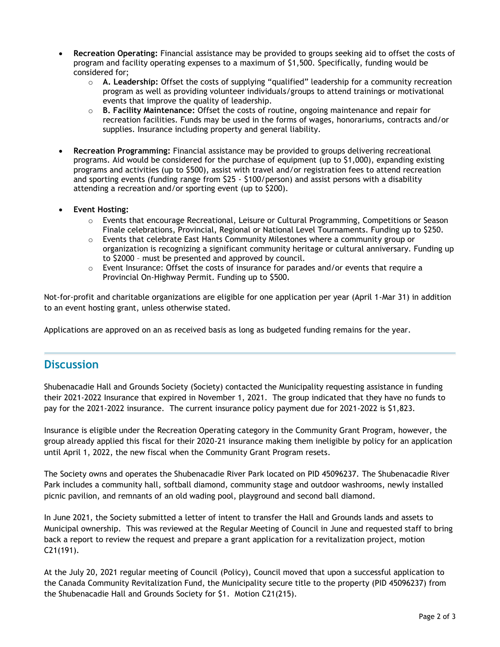- **Recreation Operating:** Financial assistance may be provided to groups seeking aid to offset the costs of program and facility operating expenses to a maximum of \$1,500. Specifically, funding would be considered for;
	- o **A. Leadership:** Offset the costs of supplying "qualified" leadership for a community recreation program as well as providing volunteer individuals/groups to attend trainings or motivational events that improve the quality of leadership.
	- o **B. Facility Maintenance:** Offset the costs of routine, ongoing maintenance and repair for recreation facilities. Funds may be used in the forms of wages, honorariums, contracts and/or supplies. Insurance including property and general liability.
- **Recreation Programming:** Financial assistance may be provided to groups delivering recreational programs. Aid would be considered for the purchase of equipment (up to \$1,000), expanding existing programs and activities (up to \$500), assist with travel and/or registration fees to attend recreation and sporting events (funding range from \$25 - \$100/person) and assist persons with a disability attending a recreation and/or sporting event (up to \$200).
- **Event Hosting:**
	- o Events that encourage Recreational, Leisure or Cultural Programming, Competitions or Season Finale celebrations, Provincial, Regional or National Level Tournaments. Funding up to \$250.
	- $\circ$  Events that celebrate East Hants Community Milestones where a community group or organization is recognizing a significant community heritage or cultural anniversary. Funding up to \$2000 – must be presented and approved by council.
	- $\circ$  Event Insurance: Offset the costs of insurance for parades and/or events that require a Provincial On-Highway Permit. Funding up to \$500.

Not-for-profit and charitable organizations are eligible for one application per year (April 1-Mar 31) in addition to an event hosting grant, unless otherwise stated.

Applications are approved on an as received basis as long as budgeted funding remains for the year.

# **Discussion**

Shubenacadie Hall and Grounds Society (Society) contacted the Municipality requesting assistance in funding their 2021-2022 Insurance that expired in November 1, 2021. The group indicated that they have no funds to pay for the 2021-2022 insurance. The current insurance policy payment due for 2021-2022 is \$1,823.

Insurance is eligible under the Recreation Operating category in the Community Grant Program, however, the group already applied this fiscal for their 2020-21 insurance making them ineligible by policy for an application until April 1, 2022, the new fiscal when the Community Grant Program resets.

The Society owns and operates the Shubenacadie River Park located on PID 45096237. The Shubenacadie River Park includes a community hall, softball diamond, community stage and outdoor washrooms, newly installed picnic pavilion, and remnants of an old wading pool, playground and second ball diamond.

In June 2021, the Society submitted a letter of intent to transfer the Hall and Grounds lands and assets to Municipal ownership. This was reviewed at the Regular Meeting of Council in June and requested staff to bring back a report to review the request and prepare a grant application for a revitalization project, motion C21(191).

At the July 20, 2021 regular meeting of Council (Policy), Council moved that upon a successful application to the Canada Community Revitalization Fund, the Municipality secure title to the property (PID 45096237) from the Shubenacadie Hall and Grounds Society for \$1. Motion C21(215).